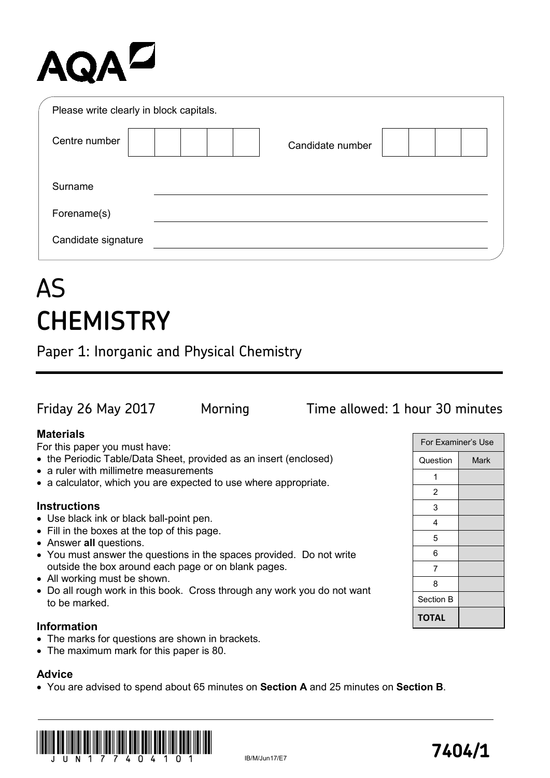# AQA<sup>D</sup>

| Please write clearly in block capitals. |                  |
|-----------------------------------------|------------------|
| Centre number                           | Candidate number |
| Surname                                 |                  |
| Forename(s)                             |                  |
| Candidate signature                     |                  |

## AS **CHEMISTRY**

Paper 1: Inorganic and Physical Chemistry

## Friday 26 May 2017 Morning Time allowed: 1 hour 30 minutes

For Examiner's Use

Question | Mark

**TOTAL**

## **Materials**

For this paper you must have:

- the Periodic Table/Data Sheet, provided as an insert (enclosed)
- a ruler with millimetre measurements
- a calculator, which you are expected to use where appropriate.

## **Instructions**

- Use black ink or black ball-point pen.
- Fill in the boxes at the top of this page.
- Answer **all** questions.
- You must answer the questions in the spaces provided. Do not write outside the box around each page or on blank pages.
- All working must be shown.
- Do all rough work in this book. Cross through any work you do not want to be marked.

## **Information**

- The marks for questions are shown in brackets.
- The maximum mark for this paper is 80.

## **Advice**

• You are advised to spend about 65 minutes on **Section A** and 25 minutes on **Section B**.

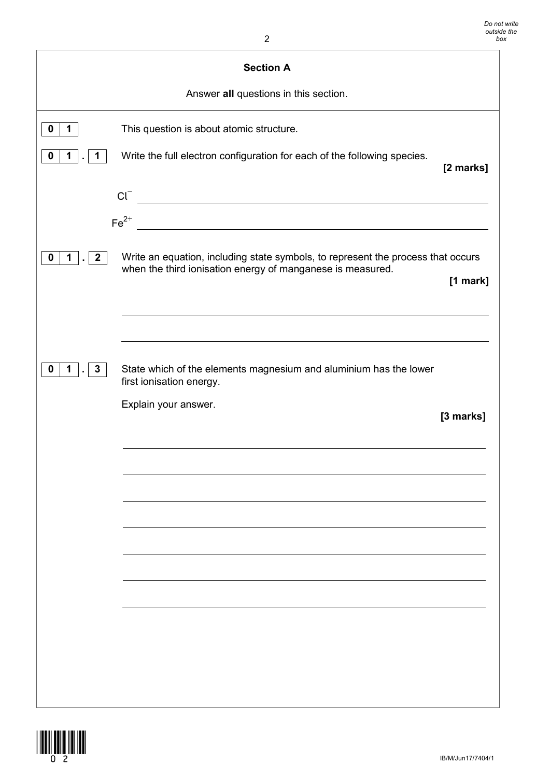| $\overline{2}$                                            |                                                                                                                                                |           |  |
|-----------------------------------------------------------|------------------------------------------------------------------------------------------------------------------------------------------------|-----------|--|
| <b>Section A</b><br>Answer all questions in this section. |                                                                                                                                                |           |  |
|                                                           |                                                                                                                                                |           |  |
| $\mathbf 0$<br>$\mathbf 1$                                | This question is about atomic structure.                                                                                                       |           |  |
| $\boldsymbol{0}$<br>$\mathbf 1$<br>1                      | Write the full electron configuration for each of the following species.                                                                       | [2 marks] |  |
|                                                           | $Cl^-$                                                                                                                                         |           |  |
|                                                           | $Fe2+$                                                                                                                                         |           |  |
|                                                           | <u> 1980 - Jan Samuel Barbara, margaret e</u> n 1980 eta eta 1980 eta 1980 eta 1980 eta 1980 eta 1980 eta 1980 eta 198                         |           |  |
| 2 <sup>1</sup><br>0<br>$\mathbf 1$                        | Write an equation, including state symbols, to represent the process that occurs<br>when the third ionisation energy of manganese is measured. | [1 mark]  |  |
|                                                           |                                                                                                                                                |           |  |
|                                                           |                                                                                                                                                |           |  |
| $\mathbf{3}$<br>$\mathbf{1}$<br>0                         | State which of the elements magnesium and aluminium has the lower<br>first ionisation energy.                                                  |           |  |
|                                                           | Explain your answer.                                                                                                                           | [3 marks] |  |
|                                                           |                                                                                                                                                |           |  |
|                                                           |                                                                                                                                                |           |  |
|                                                           |                                                                                                                                                |           |  |
|                                                           |                                                                                                                                                |           |  |
|                                                           |                                                                                                                                                |           |  |
|                                                           |                                                                                                                                                |           |  |
|                                                           |                                                                                                                                                |           |  |
|                                                           |                                                                                                                                                |           |  |
|                                                           |                                                                                                                                                |           |  |
|                                                           |                                                                                                                                                |           |  |
|                                                           |                                                                                                                                                |           |  |

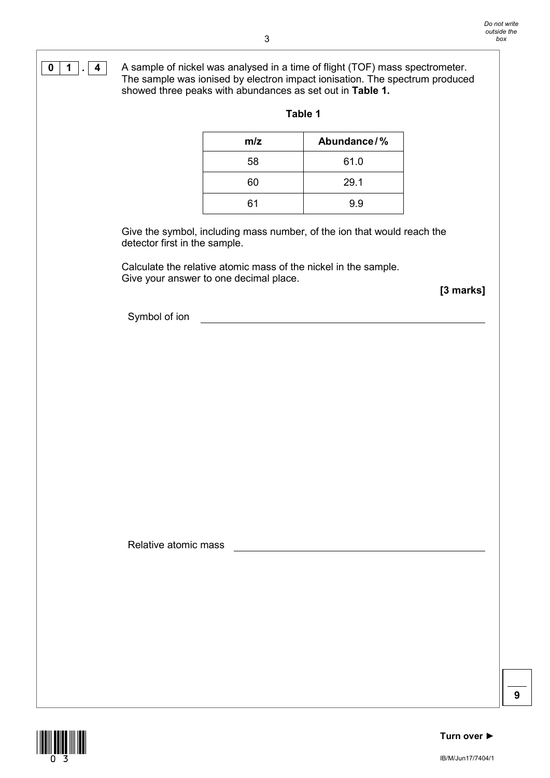**0 1**  $\overline{1}$  **4** A sample of nickel was analysed in a time of flight (TOF) mass spectrometer. The sample was ionised by electron impact ionisation. The spectrum produced showed three peaks with abundances as set out in **Table 1.**

| m/z | Abundance/% |
|-----|-------------|
| 58  | 61.0        |
| 60  | 29.1        |
| 61  | 9.9         |

### **Table 1**

Give the symbol, including mass number, of the ion that would reach the detector first in the sample.

Calculate the relative atomic mass of the nickel in the sample. Give your answer to one decimal place.

**[3 marks]**

Symbol of ion

Relative atomic mass

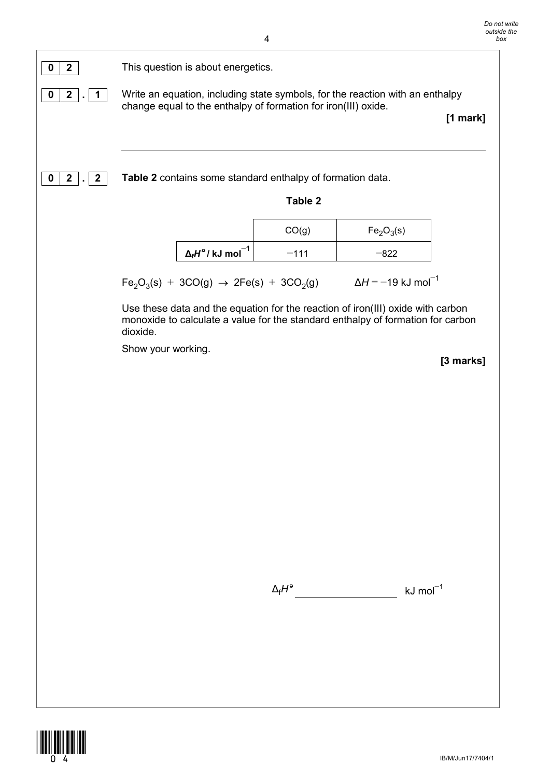

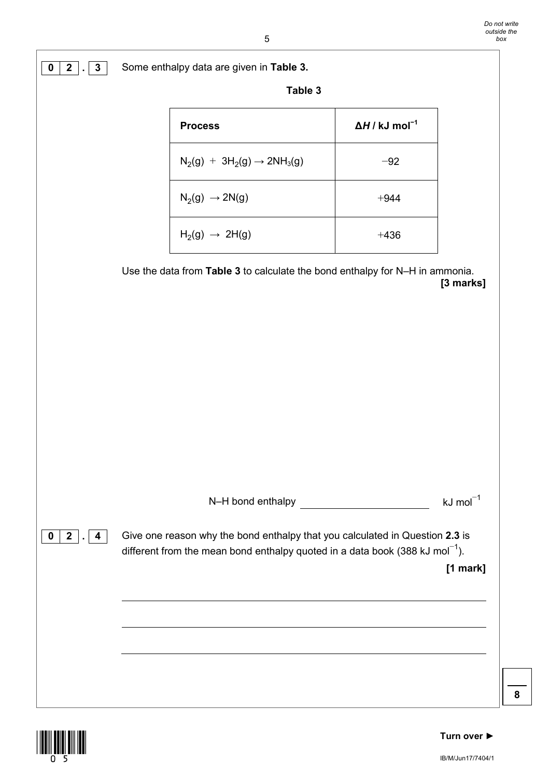|                        | Table 3                                                                                  |                                   |                       |
|------------------------|------------------------------------------------------------------------------------------|-----------------------------------|-----------------------|
|                        | <b>Process</b>                                                                           | $\Delta H / kJ$ mol <sup>-1</sup> |                       |
|                        | $N_2(g) + 3H_2(g) \rightarrow 2NH_3(g)$                                                  | $-92$                             |                       |
|                        | $N_2(g) \rightarrow 2N(g)$                                                               | $+944$                            |                       |
|                        | $H_2(g) \rightarrow 2H(g)$                                                               | $+436$                            |                       |
|                        | Use the data from Table 3 to calculate the bond enthalpy for N-H in ammonia.             |                                   | [3 marks]             |
|                        |                                                                                          |                                   |                       |
|                        |                                                                                          |                                   |                       |
|                        |                                                                                          |                                   |                       |
|                        |                                                                                          |                                   |                       |
|                        |                                                                                          |                                   |                       |
|                        |                                                                                          |                                   | $kJ \text{ mol}^{-1}$ |
| $2$ . 4<br>$\mathbf 0$ | Give one reason why the bond enthalpy that you calculated in Question 2.3 is             |                                   |                       |
|                        | different from the mean bond enthalpy quoted in a data book (388 kJ mol <sup>-1</sup> ). |                                   | [1 mark]              |
|                        |                                                                                          |                                   |                       |
|                        |                                                                                          |                                   |                       |
|                        |                                                                                          |                                   |                       |



 $\mathbb{L}$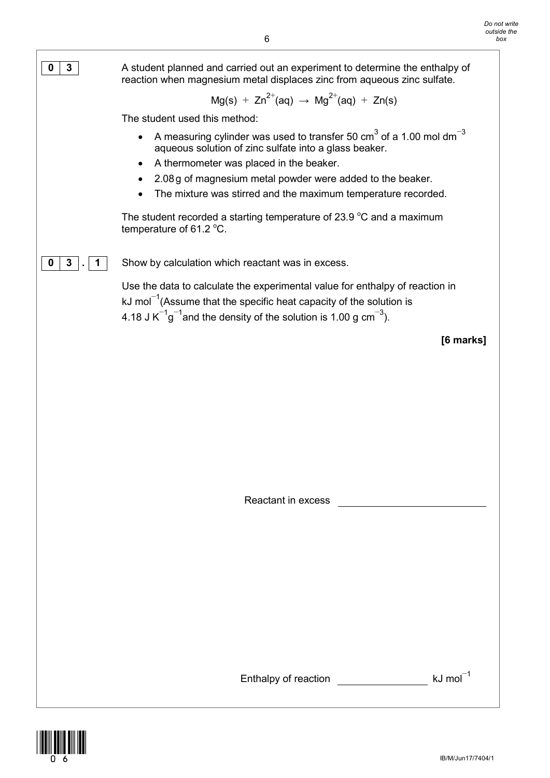

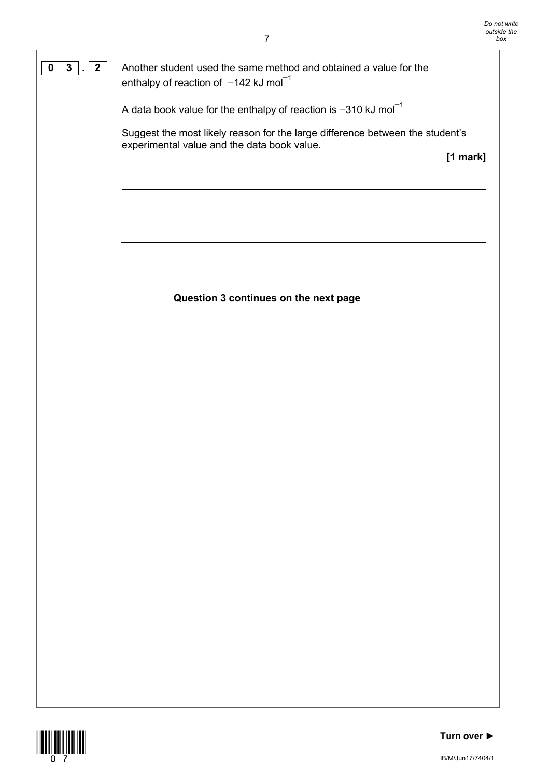**0 3**  $\sqrt{2}$  Another student used the same method and obtained a value for the enthalpy of reaction of -142 kJ mol<sup>-1</sup>

A data book value for the enthalpy of reaction is −310 kJ mol−<sup>1</sup>

Suggest the most likely reason for the large difference between the student's experimental value and the data book value.

**[1 mark]**

## **Question 3 continues on the next page**

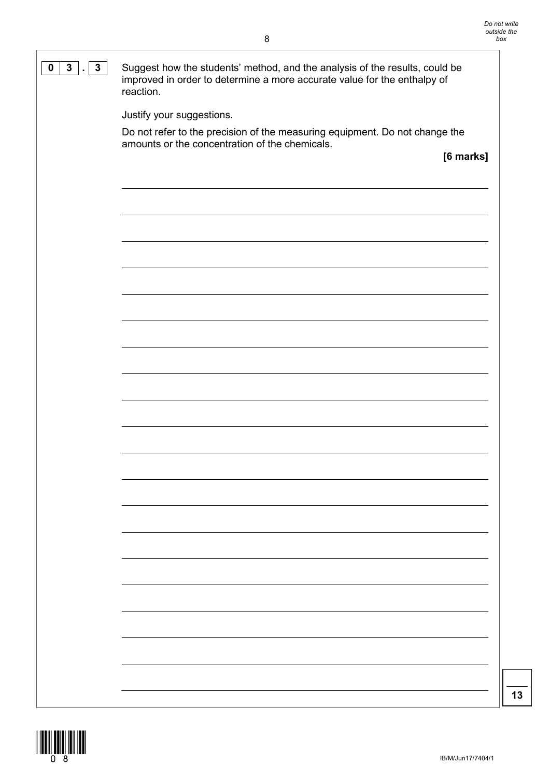| $\mathbf{3}$<br>0<br>$3$ . | Suggest how the students' method, and the analysis of the results, could be<br>improved in order to determine a more accurate value for the enthalpy of<br>reaction. |
|----------------------------|----------------------------------------------------------------------------------------------------------------------------------------------------------------------|
|                            | Justify your suggestions.                                                                                                                                            |
|                            | Do not refer to the precision of the measuring equipment. Do not change the<br>amounts or the concentration of the chemicals.                                        |
|                            | [6 marks]                                                                                                                                                            |
|                            |                                                                                                                                                                      |
|                            |                                                                                                                                                                      |
|                            |                                                                                                                                                                      |
|                            |                                                                                                                                                                      |
|                            |                                                                                                                                                                      |
|                            |                                                                                                                                                                      |
|                            |                                                                                                                                                                      |
|                            |                                                                                                                                                                      |
|                            |                                                                                                                                                                      |
|                            |                                                                                                                                                                      |
|                            |                                                                                                                                                                      |
|                            |                                                                                                                                                                      |
|                            |                                                                                                                                                                      |
|                            |                                                                                                                                                                      |
|                            |                                                                                                                                                                      |
|                            |                                                                                                                                                                      |
|                            |                                                                                                                                                                      |
|                            |                                                                                                                                                                      |
|                            |                                                                                                                                                                      |
|                            |                                                                                                                                                                      |
|                            |                                                                                                                                                                      |
|                            |                                                                                                                                                                      |
|                            |                                                                                                                                                                      |
|                            |                                                                                                                                                                      |
|                            |                                                                                                                                                                      |
|                            |                                                                                                                                                                      |
|                            |                                                                                                                                                                      |
|                            |                                                                                                                                                                      |
|                            |                                                                                                                                                                      |
|                            |                                                                                                                                                                      |
|                            |                                                                                                                                                                      |
|                            |                                                                                                                                                                      |
|                            |                                                                                                                                                                      |

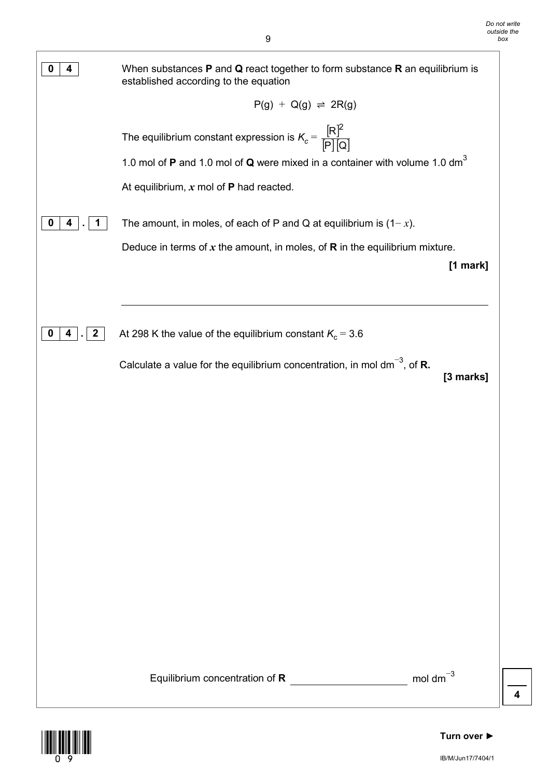

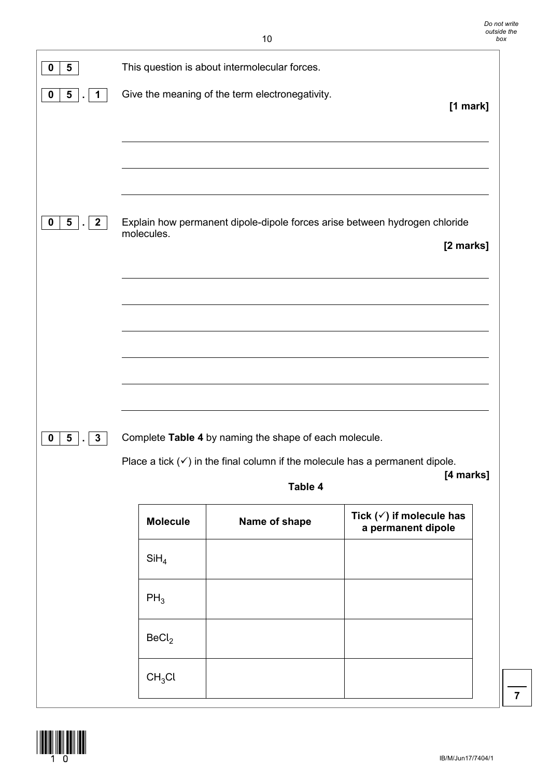| 5<br>0                                                           |                    | This question is about intermolecular forces.                                           |                                                           |
|------------------------------------------------------------------|--------------------|-----------------------------------------------------------------------------------------|-----------------------------------------------------------|
| $5\overline{)}$<br>$\mathbf 0$<br>$\overline{1}$<br>$\mathbf{r}$ |                    | Give the meaning of the term electronegativity.                                         | $[1$ mark]                                                |
|                                                                  |                    |                                                                                         |                                                           |
| 5 <sub>5</sub><br>$\overline{2}$<br>0<br>$\mathbf{r}$            | molecules.         | Explain how permanent dipole-dipole forces arise between hydrogen chloride              | [2 marks]                                                 |
|                                                                  |                    |                                                                                         |                                                           |
|                                                                  |                    |                                                                                         |                                                           |
| $\pmb{0}$<br>5 <sub>5</sub><br>$\mathbf{3}$<br>$\bullet$         |                    | Complete Table 4 by naming the shape of each molecule.                                  |                                                           |
|                                                                  |                    | Place a tick $(\checkmark)$ in the final column if the molecule has a permanent dipole. | [4 marks]                                                 |
|                                                                  |                    | Table 4                                                                                 |                                                           |
|                                                                  | <b>Molecule</b>    | Name of shape                                                                           | Tick $(\checkmark)$ if molecule has<br>a permanent dipole |
|                                                                  | SiH <sub>4</sub>   |                                                                                         |                                                           |
|                                                                  | $PH_3$             |                                                                                         |                                                           |
|                                                                  | BeCl <sub>2</sub>  |                                                                                         |                                                           |
|                                                                  | CH <sub>3</sub> Cl |                                                                                         |                                                           |

 $\begin{array}{c} \begin{array}{c} \begin{array}{c} \text{10}\ \text{11}\ \text{12}\ \text{13}\ \text{14}\ \text{15}\ \text{16}\ \text{17}\ \text{18}\ \text{18}\ \text{19}\ \text{19}\ \text{19}\ \text{19}\ \text{19}\ \text{19}\ \text{19}\ \text{19}\ \text{19}\ \text{19}\ \text{19}\ \text{19}\ \text{19}\ \text{19}\ \text{19}\ \text{19}\ \text{19}\ \text{19}\ \text{19}\ \text{19}\ \text{19}\ \text{19}\ \text{19}\ \$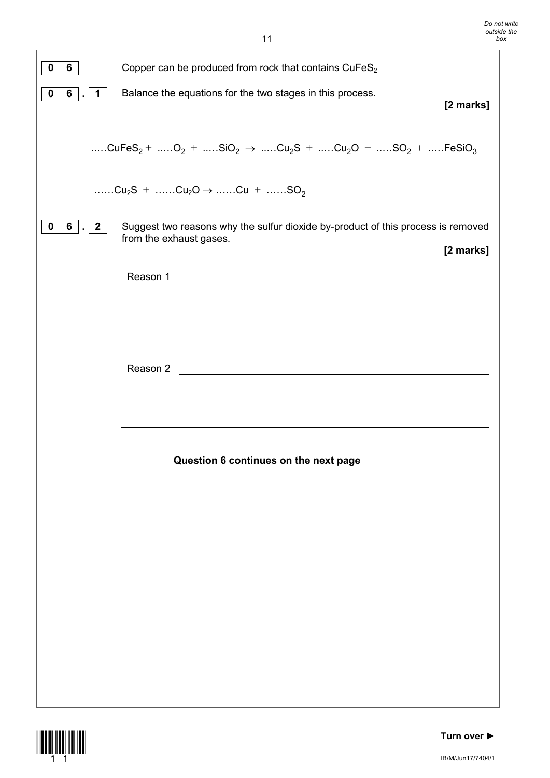| $\mathbf 0$<br>6                              | Copper can be produced from rock that contains CuFeS <sub>2</sub>                                                                                 |
|-----------------------------------------------|---------------------------------------------------------------------------------------------------------------------------------------------------|
| $6\overline{6}$<br>$\mathbf 0$<br>$\mathbf 1$ | Balance the equations for the two stages in this process.<br>[2 marks]                                                                            |
|                                               |                                                                                                                                                   |
|                                               | CuFeS <sub>2</sub> + O <sub>2</sub> + SiO <sub>2</sub> $\rightarrow$ Cu <sub>2</sub> S + Cu <sub>2</sub> O + SO <sub>2</sub> + FeSiO <sub>3</sub> |
|                                               | $Cu_2S +$ $Cu_2O \rightarrow$ $Cu +$ $SO_2$                                                                                                       |
| $\mathbf 0$<br>$6$  .<br>2 <sup>1</sup>       | Suggest two reasons why the sulfur dioxide by-product of this process is removed<br>from the exhaust gases.<br>[2 marks]                          |
|                                               |                                                                                                                                                   |
|                                               |                                                                                                                                                   |
|                                               |                                                                                                                                                   |
|                                               | Reason 2                                                                                                                                          |
|                                               | <u> 1980 - Jan Barbara Barat, martin da basar da basar da basar da basar da basar da basar da basar da basar da b</u>                             |
|                                               |                                                                                                                                                   |
|                                               | Question 6 continues on the next page                                                                                                             |
|                                               |                                                                                                                                                   |
|                                               |                                                                                                                                                   |
|                                               |                                                                                                                                                   |
|                                               |                                                                                                                                                   |
|                                               |                                                                                                                                                   |
|                                               |                                                                                                                                                   |
|                                               |                                                                                                                                                   |
|                                               |                                                                                                                                                   |
|                                               |                                                                                                                                                   |

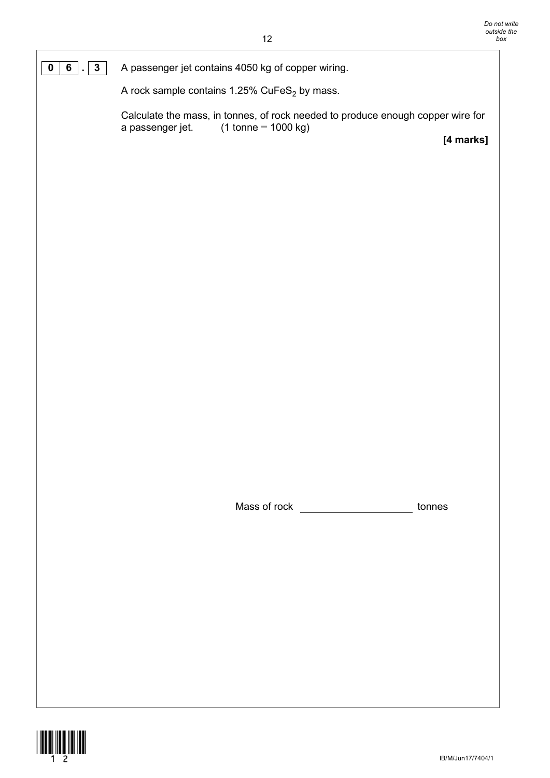**0 6 . 3** A passenger jet contains 4050 kg of copper wiring.

A rock sample contains 1.25% CuFeS $_2$  by mass.

Calculate the mass, in tonnes, of rock needed to produce enough copper wire for a passenger jet.  $(1 \text{ tonne} = 1000 \text{ kg})$  $(1 \text{ tonne} = 1000 \text{ kg})$ 

**[4 marks]**

Mass of rock tonnes

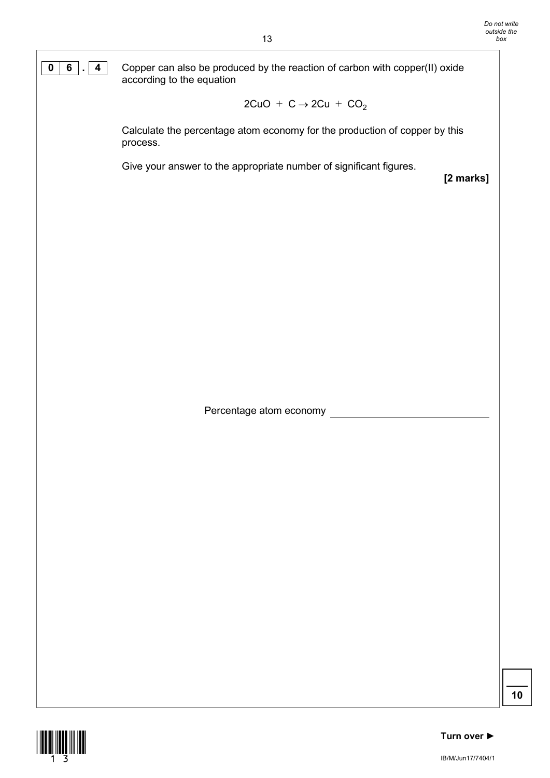**0 6 . 4** Copper can also be produced by the reaction of carbon with copper(II) oxide according to the equation

$$
2CuO + C \rightarrow 2Cu + CO2
$$

Calculate the percentage atom economy for the production of copper by this process.

Give your answer to the appropriate number of significant figures.

**[2 marks]**

Percentage atom economy

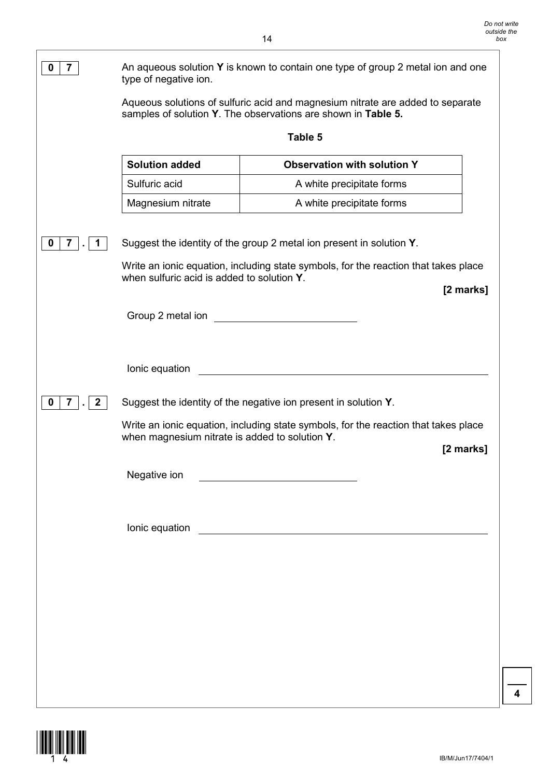| $\overline{\mathbf{r}}$<br>0                 | An aqueous solution Y is known to contain one type of group 2 metal ion and one<br>type of negative ion. |                                                                                                                                                 |  |
|----------------------------------------------|----------------------------------------------------------------------------------------------------------|-------------------------------------------------------------------------------------------------------------------------------------------------|--|
|                                              |                                                                                                          | Aqueous solutions of sulfuric acid and magnesium nitrate are added to separate<br>samples of solution Y. The observations are shown in Table 5. |  |
|                                              |                                                                                                          | Table 5                                                                                                                                         |  |
|                                              | <b>Solution added</b>                                                                                    | <b>Observation with solution Y</b>                                                                                                              |  |
|                                              | Sulfuric acid                                                                                            | A white precipitate forms                                                                                                                       |  |
|                                              | Magnesium nitrate                                                                                        | A white precipitate forms                                                                                                                       |  |
| 7<br>0                                       |                                                                                                          | Suggest the identity of the group 2 metal ion present in solution Y.                                                                            |  |
|                                              | when sulfuric acid is added to solution Y.                                                               | Write an ionic equation, including state symbols, for the reaction that takes place<br>[2 marks]                                                |  |
|                                              | Group 2 metal ion                                                                                        |                                                                                                                                                 |  |
|                                              | Ionic equation                                                                                           |                                                                                                                                                 |  |
| $\overline{\mathbf{7}}$<br>0<br>$\mathbf{2}$ |                                                                                                          | Suggest the identity of the negative ion present in solution Y.                                                                                 |  |
|                                              | when magnesium nitrate is added to solution Y.                                                           | Write an ionic equation, including state symbols, for the reaction that takes place<br>[2 marks]                                                |  |
|                                              | Negative ion                                                                                             | <u> 1980 - Jan Barbara Barbara, maso a</u>                                                                                                      |  |
|                                              |                                                                                                          |                                                                                                                                                 |  |
|                                              |                                                                                                          |                                                                                                                                                 |  |
|                                              |                                                                                                          |                                                                                                                                                 |  |
|                                              |                                                                                                          |                                                                                                                                                 |  |
|                                              |                                                                                                          |                                                                                                                                                 |  |
|                                              |                                                                                                          |                                                                                                                                                 |  |
|                                              |                                                                                                          |                                                                                                                                                 |  |

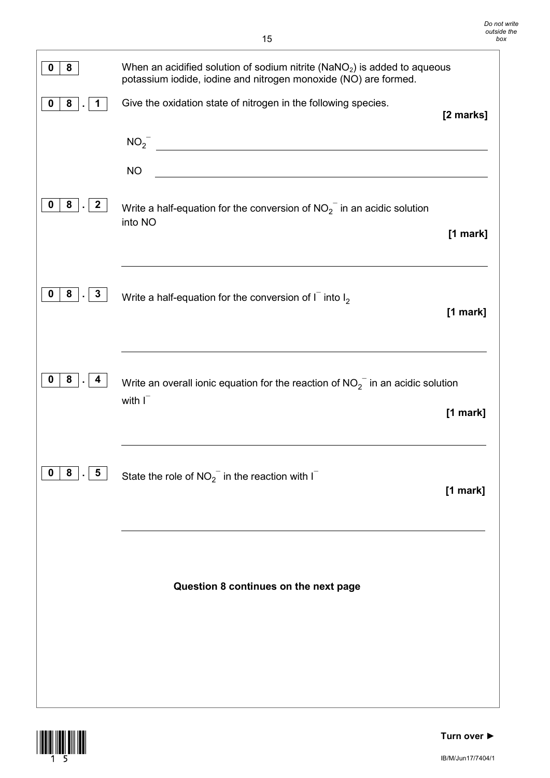| 0<br>8                                            | When an acidified solution of sodium nitrite ( $NaNO2$ ) is added to aqueous<br>potassium iodide, iodine and nitrogen monoxide (NO) are formed.           |            |
|---------------------------------------------------|-----------------------------------------------------------------------------------------------------------------------------------------------------------|------------|
| 8<br>0<br>1.                                      | Give the oxidation state of nitrogen in the following species.                                                                                            | [2 marks]  |
|                                                   | $NO_2$ <sup>-</sup><br><b>NO</b><br><u> 1980 - Johann Stoff, deutscher Stoff, der Stoff, der Stoff, der Stoff, der Stoff, der Stoff, der Stoff, der S</u> |            |
| 8<br>$\overline{\mathbf{2}}$<br>0<br>$\mathbf{r}$ | Write a half-equation for the conversion of $NO_2^-$ in an acidic solution<br>into NO                                                                     | $[1$ mark] |
| $8 \mid . \mid 3$<br>$\bf{0}$                     | Write a half-equation for the conversion of $I-$ into $I2$                                                                                                | $[1$ mark] |
| $8$ .<br>0<br>-4                                  | Write an overall ionic equation for the reaction of $NO_2^-$ in an acidic solution<br>with $I^-$                                                          | [1 mark]   |
| $\mathbf 0$<br>8<br>$5\overline{5}$<br>$\bullet$  | State the role of $NO_2^-$ in the reaction with $I^-$                                                                                                     | [1 mark]   |
|                                                   | Question 8 continues on the next page                                                                                                                     |            |
|                                                   |                                                                                                                                                           |            |

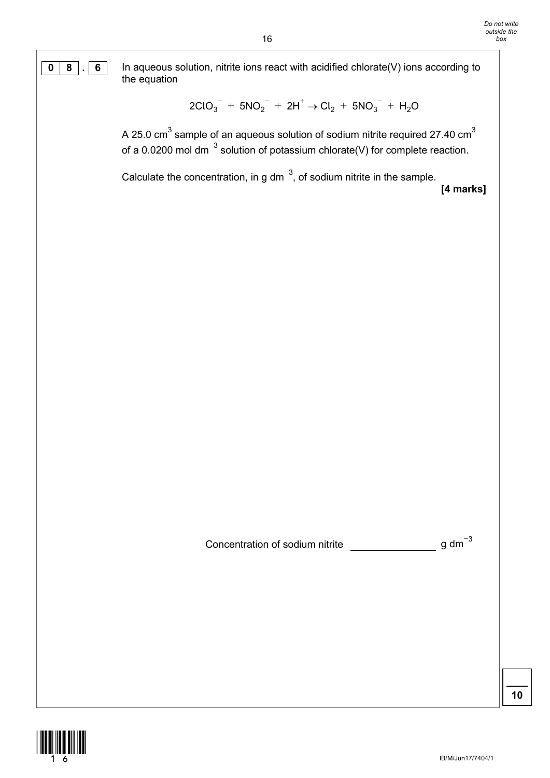**0 8 . 6** In aqueous solution, nitrite ions react with acidified chlorate(V) ions according to the equation

$$
2ClO_3^- + 5NO_2^- + 2H^+ \rightarrow Cl_2 + 5NO_3^- + H_2O
$$

A 25.0  $\text{cm}^3$  sample of an aqueous solution of sodium nitrite required 27.40  $\text{cm}^3$ of a 0.0200 mol dm<sup>-3</sup> solution of potassium chlorate(V) for complete reaction.

Calculate the concentration, in g dm<sup>-3</sup>, of sodium nitrite in the sample. **[4 marks]**

Concentration of sodium nitrite  $\frac{1}{2}$  g dm<sup>-3</sup>

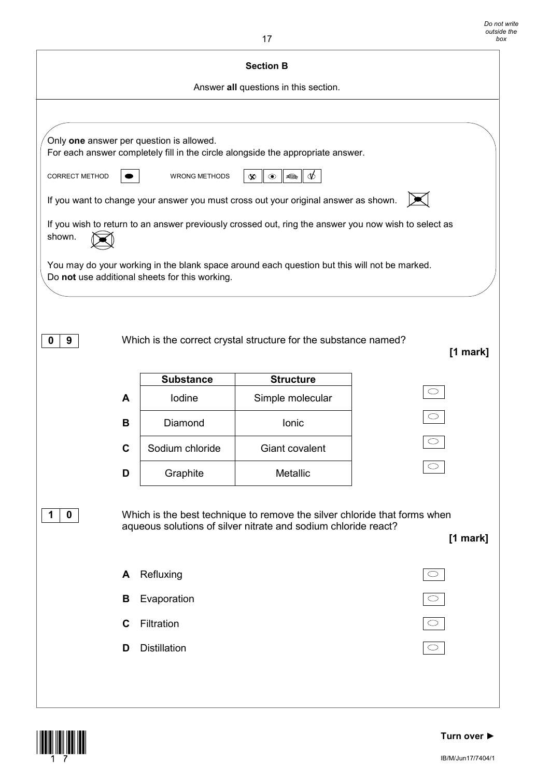| <b>Section B</b> |   |                                                |                                                                                                                                             |            |
|------------------|---|------------------------------------------------|---------------------------------------------------------------------------------------------------------------------------------------------|------------|
|                  |   |                                                | Answer all questions in this section.                                                                                                       |            |
|                  |   |                                                |                                                                                                                                             |            |
|                  |   | Only one answer per question is allowed.       | For each answer completely fill in the circle alongside the appropriate answer.                                                             |            |
| CORRECT METHOD   |   | <b>WRONG METHODS</b>                           | $\circledcirc$<br>€<br>$\infty$                                                                                                             |            |
|                  |   |                                                | If you want to change your answer you must cross out your original answer as shown.                                                         |            |
| shown.           |   |                                                | If you wish to return to an answer previously crossed out, ring the answer you now wish to select as                                        |            |
|                  |   | Do not use additional sheets for this working. | You may do your working in the blank space around each question but this will not be marked.                                                |            |
|                  |   |                                                |                                                                                                                                             |            |
|                  |   |                                                |                                                                                                                                             |            |
| 9<br>0           |   |                                                | Which is the correct crystal structure for the substance named?                                                                             |            |
|                  |   |                                                |                                                                                                                                             | [1 mark]   |
|                  |   | <b>Substance</b>                               | <b>Structure</b>                                                                                                                            |            |
|                  | A | Iodine                                         | Simple molecular                                                                                                                            |            |
|                  | B | Diamond                                        | Ionic                                                                                                                                       |            |
|                  | C | Sodium chloride                                | Giant covalent                                                                                                                              |            |
|                  | D | Graphite                                       | Metallic                                                                                                                                    |            |
|                  |   |                                                |                                                                                                                                             |            |
| 0                |   |                                                | Which is the best technique to remove the silver chloride that forms when<br>aqueous solutions of silver nitrate and sodium chloride react? |            |
|                  |   |                                                |                                                                                                                                             | [1 mark]   |
|                  | A | Refluxing                                      |                                                                                                                                             | $\bigcirc$ |
|                  | В | Evaporation                                    |                                                                                                                                             |            |
|                  | C | Filtration                                     |                                                                                                                                             | $\bigcirc$ |
|                  | D | <b>Distillation</b>                            |                                                                                                                                             |            |
|                  |   |                                                |                                                                                                                                             |            |
|                  |   |                                                |                                                                                                                                             |            |

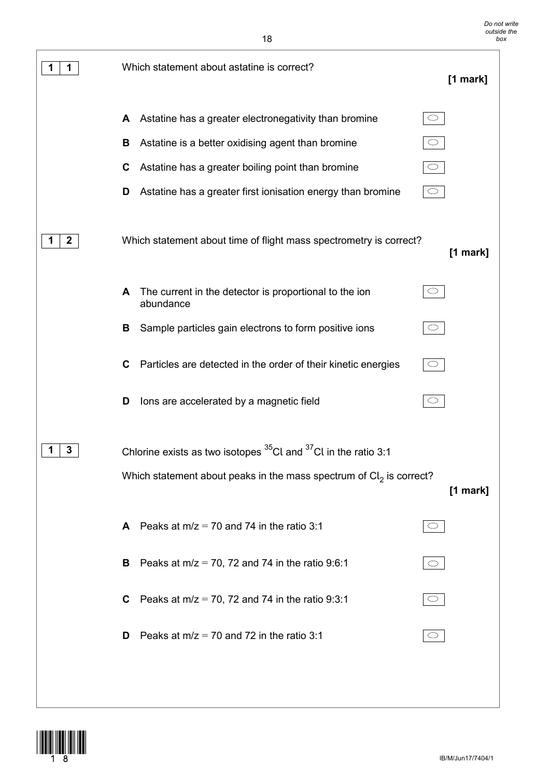| 1<br>1       | Which statement about astatine is correct?                                          | [1 mark] |
|--------------|-------------------------------------------------------------------------------------|----------|
|              | Astatine has a greater electronegativity than bromine<br>$\bigcirc$<br>A            |          |
|              | Astatine is a better oxidising agent than bromine<br>$\bigcirc$<br>В                |          |
|              | C<br>Astatine has a greater boiling point than bromine<br>$\circlearrowright$       |          |
|              | Astatine has a greater first ionisation energy than bromine<br>$\circ$<br>D         |          |
| $\mathbf{2}$ | Which statement about time of flight mass spectrometry is correct?                  | [1 mark] |
|              | The current in the detector is proportional to the ion<br>$\circ$<br>A<br>abundance |          |
|              | Sample particles gain electrons to form positive ions<br>В<br>$\circ$               |          |
|              | Particles are detected in the order of their kinetic energies<br>C<br>$\bigcirc$    |          |
|              | lons are accelerated by a magnetic field<br>D<br>$\bigcirc$                         |          |
| 3            | Chlorine exists as two isotopes $35$ Cl and $37$ Cl in the ratio 3:1                |          |
|              | Which statement about peaks in the mass spectrum of $Cl2$ is correct?               | [1 mark] |
|              | Peaks at $m/z = 70$ and 74 in the ratio 3:1<br>$\circlearrowright$<br>A             |          |
|              | Peaks at $m/z = 70$ , 72 and 74 in the ratio 9:6:1<br>B<br>$\bigcirc$               |          |
|              | Peaks at $m/z = 70$ , 72 and 74 in the ratio 9:3:1<br>$\bigcirc$<br>C               |          |
|              | Peaks at $m/z = 70$ and 72 in the ratio 3:1<br>$\circ$<br>D                         |          |
|              |                                                                                     |          |
|              |                                                                                     |          |



 $\overline{\phantom{a}}$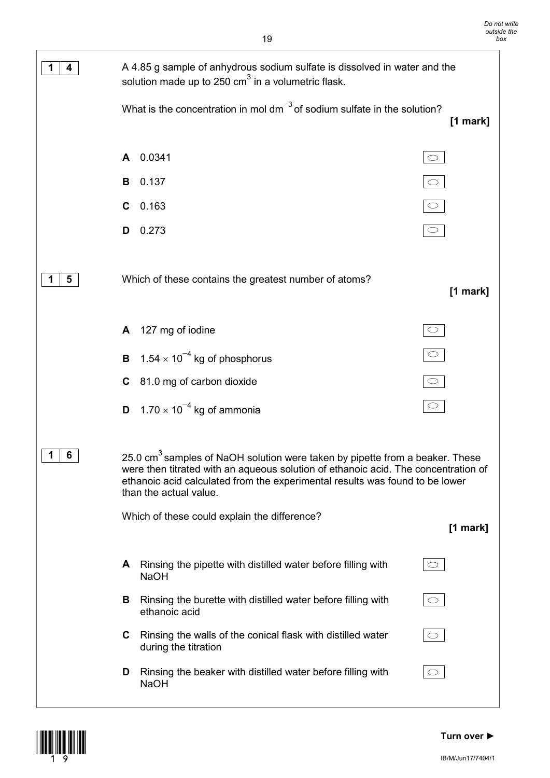| 4 | A 4.85 g sample of anhydrous sodium sulfate is dissolved in water and the<br>solution made up to 250 $\text{cm}^3$ in a volumetric flask.                                                                                                                                                                                                |                       |  |
|---|------------------------------------------------------------------------------------------------------------------------------------------------------------------------------------------------------------------------------------------------------------------------------------------------------------------------------------------|-----------------------|--|
|   | What is the concentration in mol $dm^{-3}$ of sodium sulfate in the solution?                                                                                                                                                                                                                                                            | [1 mark]              |  |
|   | 0.0341<br>A                                                                                                                                                                                                                                                                                                                              | $\bigcirc$            |  |
|   | 0.137<br>В                                                                                                                                                                                                                                                                                                                               | $\overline{\bigcirc}$ |  |
|   | 0.163<br>C                                                                                                                                                                                                                                                                                                                               |                       |  |
|   | 0.273<br>D                                                                                                                                                                                                                                                                                                                               |                       |  |
| 5 | Which of these contains the greatest number of atoms?                                                                                                                                                                                                                                                                                    | [1 mark]              |  |
|   | 127 mg of iodine<br>A                                                                                                                                                                                                                                                                                                                    |                       |  |
|   | 1.54 $\times$ 10 <sup>-4</sup> kg of phosphorus<br>B                                                                                                                                                                                                                                                                                     | $\circ$               |  |
|   | 81.0 mg of carbon dioxide<br>C                                                                                                                                                                                                                                                                                                           | $\bigcirc$            |  |
|   | 1.70 $\times$ 10 <sup>-4</sup> kg of ammonia<br>D                                                                                                                                                                                                                                                                                        | $\bigcirc$            |  |
| 6 | 25.0 cm <sup>3</sup> samples of NaOH solution were taken by pipette from a beaker. These<br>were then titrated with an aqueous solution of ethanoic acid. The concentration of<br>ethanoic acid calculated from the experimental results was found to be lower<br>than the actual value.<br>Which of these could explain the difference? | [1 mark]              |  |
|   |                                                                                                                                                                                                                                                                                                                                          |                       |  |
|   | Rinsing the pipette with distilled water before filling with<br>A<br><b>NaOH</b>                                                                                                                                                                                                                                                         |                       |  |
|   | Rinsing the burette with distilled water before filling with<br>В<br>ethanoic acid                                                                                                                                                                                                                                                       | $\circlearrowright$   |  |
|   | Rinsing the walls of the conical flask with distilled water<br>C<br>during the titration                                                                                                                                                                                                                                                 | $\circ$               |  |
|   | Rinsing the beaker with distilled water before filling with<br>D<br><b>NaOH</b>                                                                                                                                                                                                                                                          | $\circ$               |  |



### **Turn over ►**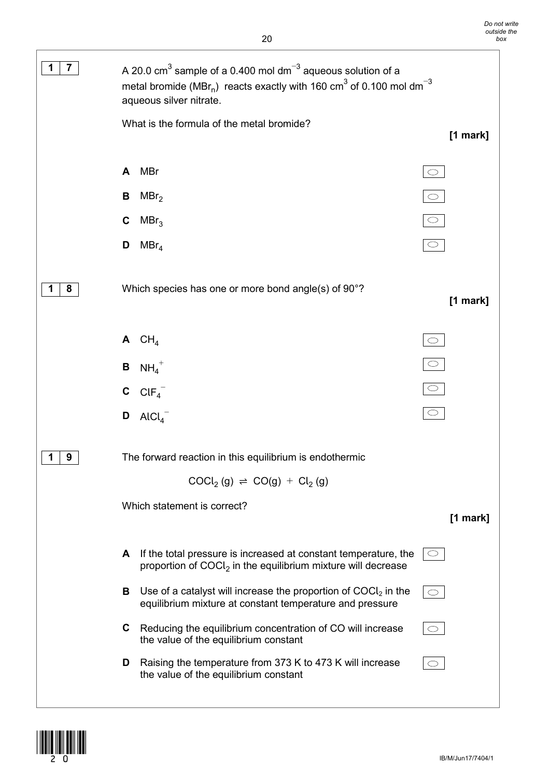

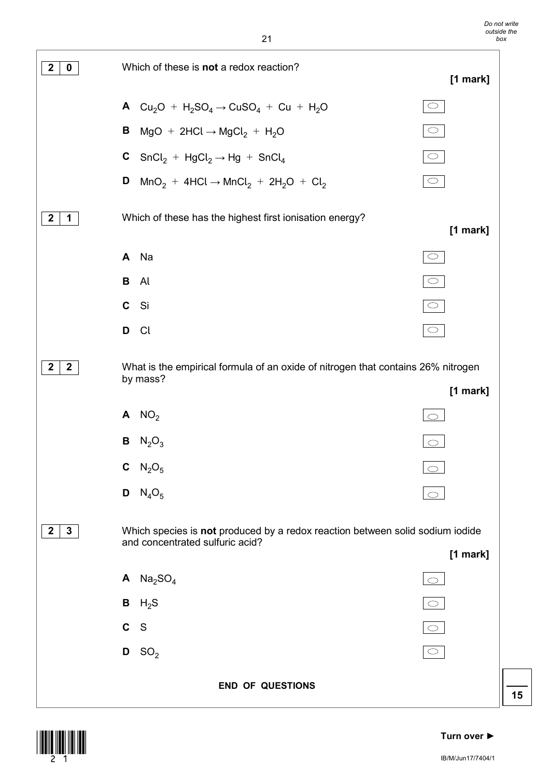



### **Turn over ►**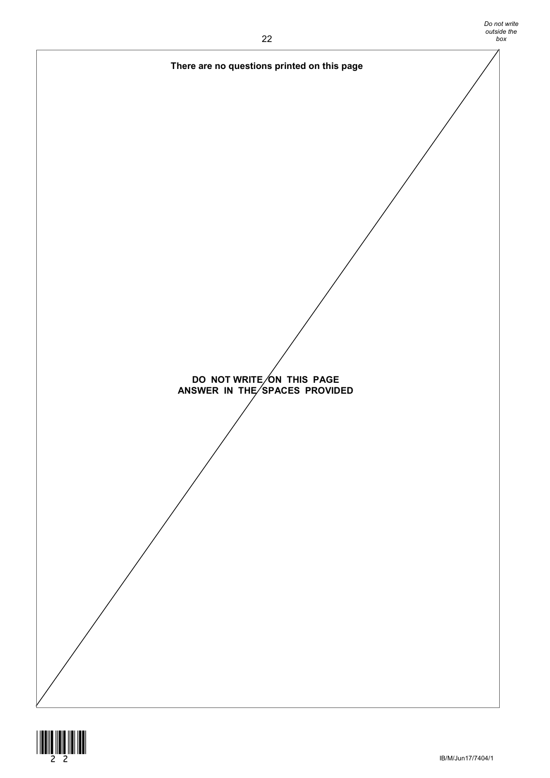

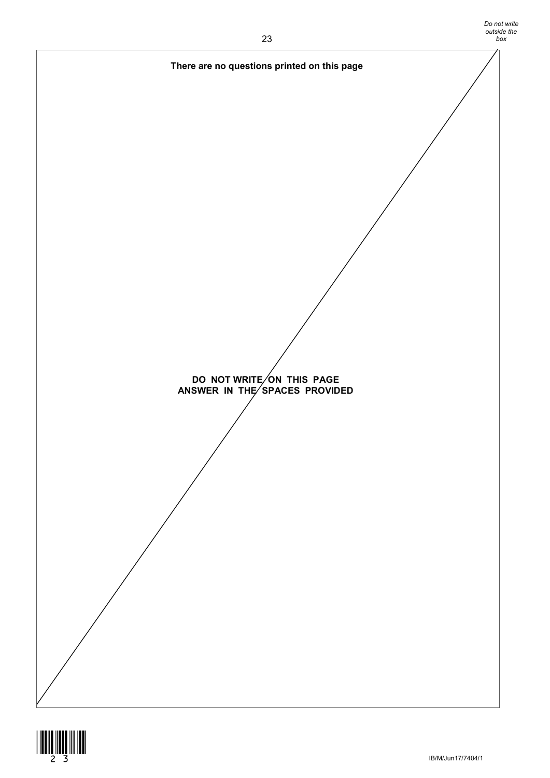